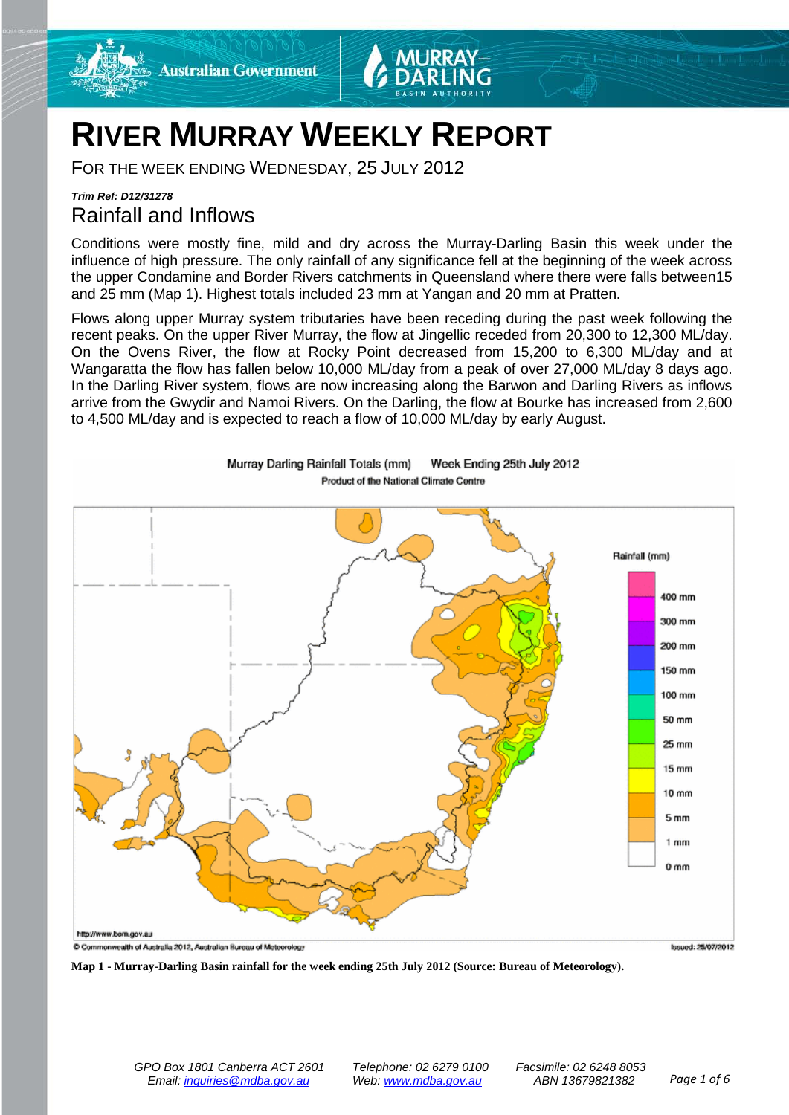

# **RIVER MURRAY WEEKLY REPORT**

FOR THE WEEK ENDING WEDNESDAY, 25 JULY 2012

### *Trim Ref: D12/31278* Rainfall and Inflows

Conditions were mostly fine, mild and dry across the Murray-Darling Basin this week under the influence of high pressure. The only rainfall of any significance fell at the beginning of the week across the upper Condamine and Border Rivers catchments in Queensland where there were falls between15 and 25 mm (Map 1). Highest totals included 23 mm at Yangan and 20 mm at Pratten.

Flows along upper Murray system tributaries have been receding during the past week following the recent peaks. On the upper River Murray, the flow at Jingellic receded from 20,300 to 12,300 ML/day. On the Ovens River, the flow at Rocky Point decreased from 15,200 to 6,300 ML/day and at Wangaratta the flow has fallen below 10,000 ML/day from a peak of over 27,000 ML/day 8 days ago. In the Darling River system, flows are now increasing along the Barwon and Darling Rivers as inflows arrive from the Gwydir and Namoi Rivers. On the Darling, the flow at Bourke has increased from 2,600 to 4,500 ML/day and is expected to reach a flow of 10,000 ML/day by early August.



Murray Darling Rainfall Totals (mm) Week Ending 25th July 2012 Product of the National Climate Centre

**Map 1 - Murray-Darling Basin rainfall for the week ending 25th July 2012 (Source: Bureau of Meteorology).**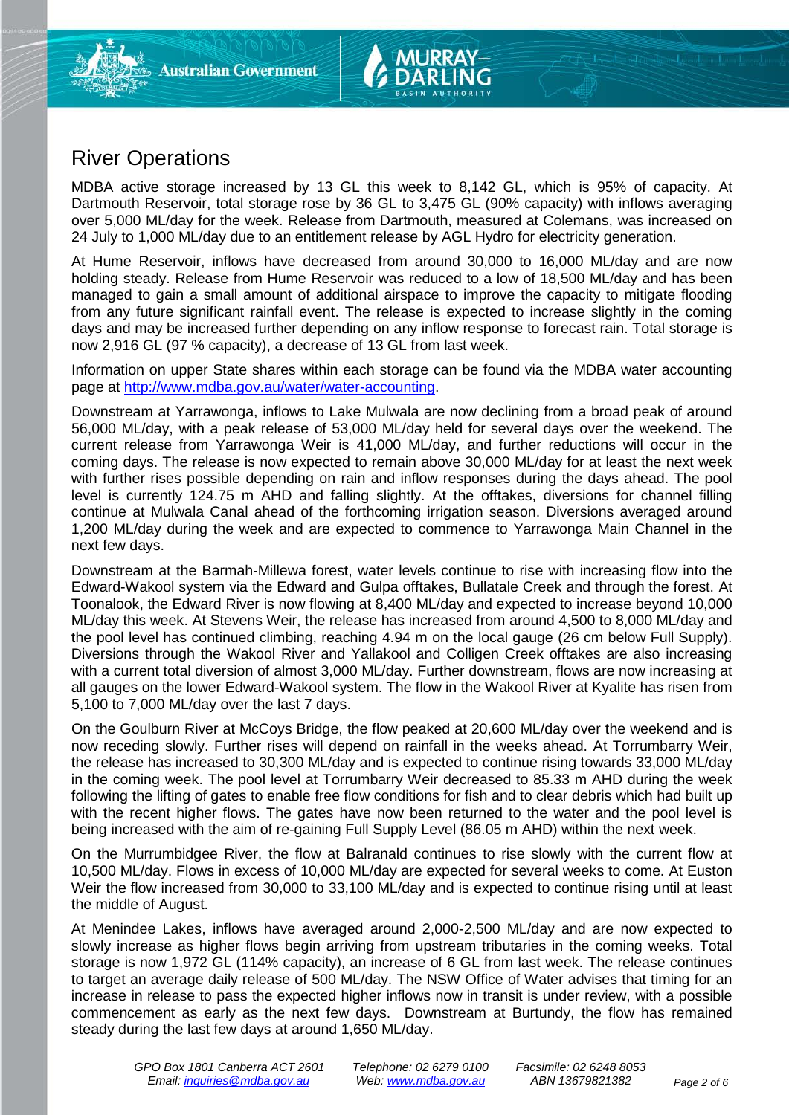

MDBA active storage increased by 13 GL this week to 8,142 GL, which is 95% of capacity. At Dartmouth Reservoir, total storage rose by 36 GL to 3,475 GL (90% capacity) with inflows averaging over 5,000 ML/day for the week. Release from Dartmouth, measured at Colemans, was increased on 24 July to 1,000 ML/day due to an entitlement release by AGL Hydro for electricity generation.

At Hume Reservoir, inflows have decreased from around 30,000 to 16,000 ML/day and are now holding steady. Release from Hume Reservoir was reduced to a low of 18,500 ML/day and has been managed to gain a small amount of additional airspace to improve the capacity to mitigate flooding from any future significant rainfall event. The release is expected to increase slightly in the coming days and may be increased further depending on any inflow response to forecast rain. Total storage is now 2,916 GL (97 % capacity), a decrease of 13 GL from last week.

Information on upper State shares within each storage can be found via the MDBA water accounting page at [http://www.mdba.gov.au/water/water-accounting.](http://www.mdba.gov.au/water/water-accounting)

Downstream at Yarrawonga, inflows to Lake Mulwala are now declining from a broad peak of around 56,000 ML/day, with a peak release of 53,000 ML/day held for several days over the weekend. The current release from Yarrawonga Weir is 41,000 ML/day, and further reductions will occur in the coming days. The release is now expected to remain above 30,000 ML/day for at least the next week with further rises possible depending on rain and inflow responses during the days ahead. The pool level is currently 124.75 m AHD and falling slightly. At the offtakes, diversions for channel filling continue at Mulwala Canal ahead of the forthcoming irrigation season. Diversions averaged around 1,200 ML/day during the week and are expected to commence to Yarrawonga Main Channel in the next few days.

Downstream at the Barmah-Millewa forest, water levels continue to rise with increasing flow into the Edward-Wakool system via the Edward and Gulpa offtakes, Bullatale Creek and through the forest. At Toonalook, the Edward River is now flowing at 8,400 ML/day and expected to increase beyond 10,000 ML/day this week. At Stevens Weir, the release has increased from around 4,500 to 8,000 ML/day and the pool level has continued climbing, reaching 4.94 m on the local gauge (26 cm below Full Supply). Diversions through the Wakool River and Yallakool and Colligen Creek offtakes are also increasing with a current total diversion of almost 3,000 ML/day. Further downstream, flows are now increasing at all gauges on the lower Edward-Wakool system. The flow in the Wakool River at Kyalite has risen from 5,100 to 7,000 ML/day over the last 7 days.

On the Goulburn River at McCoys Bridge, the flow peaked at 20,600 ML/day over the weekend and is now receding slowly. Further rises will depend on rainfall in the weeks ahead. At Torrumbarry Weir, the release has increased to 30,300 ML/day and is expected to continue rising towards 33,000 ML/day in the coming week. The pool level at Torrumbarry Weir decreased to 85.33 m AHD during the week following the lifting of gates to enable free flow conditions for fish and to clear debris which had built up with the recent higher flows. The gates have now been returned to the water and the pool level is being increased with the aim of re-gaining Full Supply Level (86.05 m AHD) within the next week.

On the Murrumbidgee River, the flow at Balranald continues to rise slowly with the current flow at 10,500 ML/day. Flows in excess of 10,000 ML/day are expected for several weeks to come. At Euston Weir the flow increased from 30,000 to 33,100 ML/day and is expected to continue rising until at least the middle of August.

At Menindee Lakes, inflows have averaged around 2,000-2,500 ML/day and are now expected to slowly increase as higher flows begin arriving from upstream tributaries in the coming weeks. Total storage is now 1,972 GL (114% capacity), an increase of 6 GL from last week. The release continues to target an average daily release of 500 ML/day. The NSW Office of Water advises that timing for an increase in release to pass the expected higher inflows now in transit is under review, with a possible commencement as early as the next few days. Downstream at Burtundy, the flow has remained steady during the last few days at around 1,650 ML/day.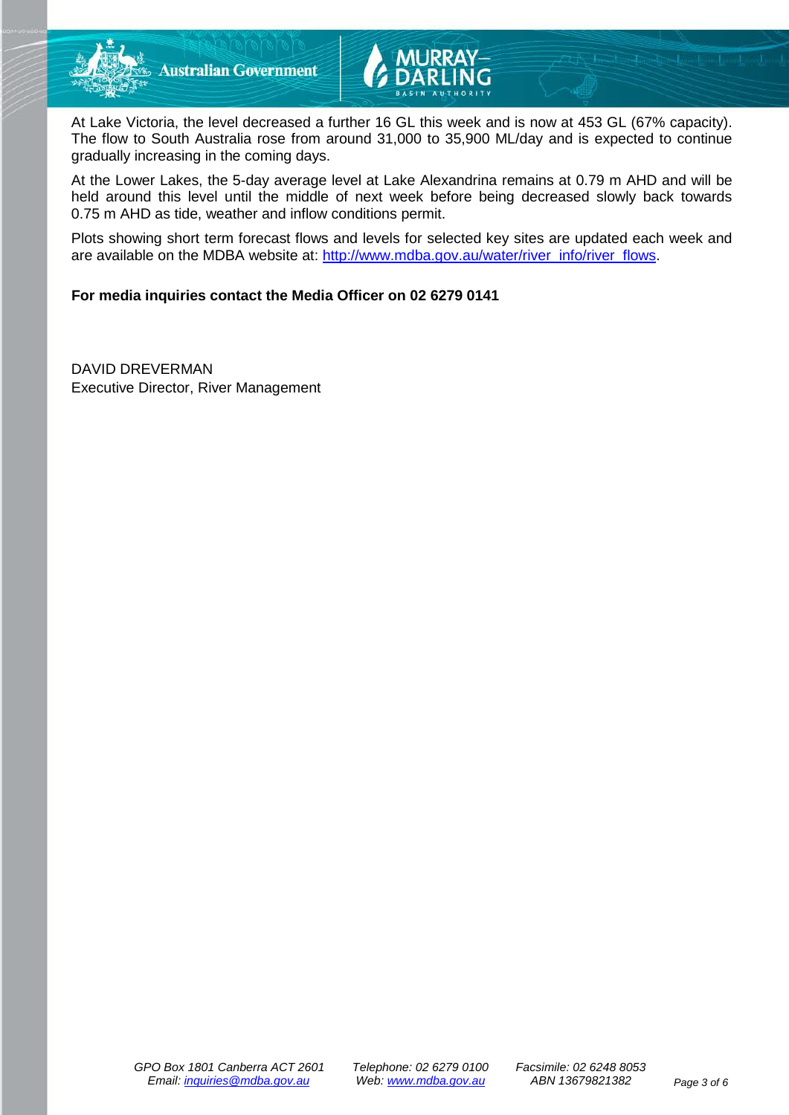



At Lake Victoria, the level decreased a further 16 GL this week and is now at 453 GL (67% capacity). The flow to South Australia rose from around 31,000 to 35,900 ML/day and is expected to continue gradually increasing in the coming days.

At the Lower Lakes, the 5-day average level at Lake Alexandrina remains at 0.79 m AHD and will be held around this level until the middle of next week before being decreased slowly back towards 0.75 m AHD as tide, weather and inflow conditions permit.

Plots showing short term forecast flows and levels for selected key sites are updated each week and are available on the MDBA website at: [http://www.mdba.gov.au/water/river\\_info/river\\_flows.](http://www.mdba.gov.au/water/river_info/river_flows)

### **For media inquiries contact the Media Officer on 02 6279 0141**

DAVID DREVERMAN Executive Director, River Management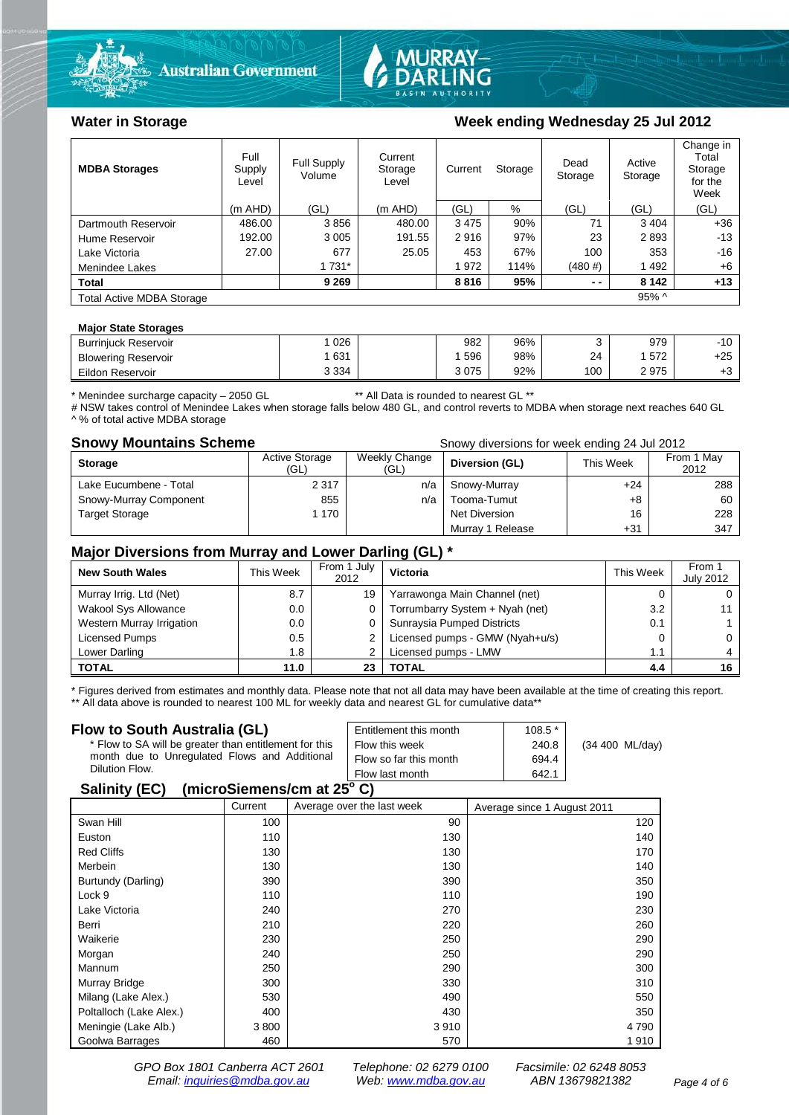



### Water in Storage Week ending Wednesday 25 Jul 2012

| <b>MDBA Storages</b>             | Full<br>Supply<br>Level | <b>Full Supply</b><br>Volume | Current<br>Storage<br>Level | Current | Storage | Dead<br>Storage | Active<br>Storage | Change in<br>Total<br>Storage<br>for the<br>Week |
|----------------------------------|-------------------------|------------------------------|-----------------------------|---------|---------|-----------------|-------------------|--------------------------------------------------|
|                                  | $(m$ AHD)               | (GL)                         | (m AHD)                     | (GL)    | %       | (GL)            | (GL)              | (GL)                                             |
| Dartmouth Reservoir              | 486.00                  | 3856                         | 480.00                      | 3475    | 90%     | 71              | 3 4 0 4           | $+36$                                            |
| Hume Reservoir                   | 192.00                  | 3 0 0 5                      | 191.55                      | 2916    | 97%     | 23              | 2893              | $-13$                                            |
| Lake Victoria                    | 27.00                   | 677                          | 25.05                       | 453     | 67%     | 100             | 353               | -16                                              |
| Menindee Lakes                   |                         | 1 7 3 1 *                    |                             | 972     | 114%    | $(480 \#)$      | 1492              | +6                                               |
| <b>Total</b>                     |                         | 9 2 6 9                      |                             | 8816    | 95%     | $ -$            | 8 1 4 2           | $+13$                                            |
| <b>Total Active MDBA Storage</b> |                         |                              |                             |         |         |                 | $95\%$ ^          |                                                  |

#### **Major State Storages**

| <b>Burriniuck Reservoir</b> | 026     | 982  | 96% |     | 979  | $-10$ |
|-----------------------------|---------|------|-----|-----|------|-------|
| <b>Blowering Reservoir</b>  | 631     | 596  | 98% | 24  | 572  | $+25$ |
| Eildon Reservoir            | 3 3 3 4 | 3075 | 92% | 100 | 2975 | ΓU    |

\* Menindee surcharge capacity – 2050 GL \*\* All Data is rounded to nearest GL \*\*

# NSW takes control of Menindee Lakes when storage falls below 480 GL, and control reverts to MDBA when storage next reaches 640 GL ^ % of total active MDBA storage

**Snowy Mountains Scheme Snowy diversions for week ending 24 Jul 2012** 

| <b>Storage</b>         | <b>Active Storage</b><br>(GL) | Weekly Change<br>(GL) | Diversion (GL)   | This Week | From 1 May<br>2012 |
|------------------------|-------------------------------|-----------------------|------------------|-----------|--------------------|
| Lake Eucumbene - Total | 2 3 1 7                       | n/a                   | Snowy-Murray     | $+24$     | 288                |
| Snowy-Murray Component | 855                           | n/a                   | Tooma-Tumut      | +8        | 60                 |
| <b>Target Storage</b>  | 1 170                         |                       | Net Diversion    | 16        | 228                |
|                        |                               |                       | Murray 1 Release | $+31$     | 347                |

#### **Major Diversions from Murray and Lower Darling (GL) \***

| <b>New South Wales</b>    | This Week | From 1 July<br>2012 | Victoria                        | <b>This Week</b> | From 1<br><b>July 2012</b> |
|---------------------------|-----------|---------------------|---------------------------------|------------------|----------------------------|
| Murray Irrig. Ltd (Net)   | 8.7       | 19                  | Yarrawonga Main Channel (net)   |                  |                            |
| Wakool Sys Allowance      | 0.0       |                     | Torrumbarry System + Nyah (net) | 3.2              |                            |
| Western Murray Irrigation | 0.0       |                     | Sunraysia Pumped Districts      | 0.1              |                            |
| Licensed Pumps            | 0.5       |                     | Licensed pumps - GMW (Nyah+u/s) |                  |                            |
| Lower Darling             | 1.8       |                     | Licensed pumps - LMW            | 1.1              |                            |
| <b>TOTAL</b>              | 11.0      | 23                  | <b>TOTAL</b>                    | 4.4              |                            |

\* Figures derived from estimates and monthly data. Please note that not all data may have been available at the time of creating this report. \*\* All data above is rounded to nearest 100 ML for weekly data and nearest GL for cumulative data\*\*

#### **Flow to South Australia (GL)**

| Flow to South Australia (GL)<br>* Flow to SA will be greater than entitlement for this<br>month due to Unregulated Flows and Additional<br>Dilution Flow. | Entitlement this month<br>Flow this week<br>Flow so far this month | $108.5*$<br>240.8<br>694.4 | (34 400 ML/day) |
|-----------------------------------------------------------------------------------------------------------------------------------------------------------|--------------------------------------------------------------------|----------------------------|-----------------|
|                                                                                                                                                           | Flow last month                                                    | 642.1                      |                 |
| 1.1.1.01.01.01.01.01.01.00.01<br>0.11100                                                                                                                  |                                                                    |                            |                 |

#### **Salinity (EC) (microSiemens/cm at 25o C)**

|                         | Current | Average over the last week | Average since 1 August 2011 |
|-------------------------|---------|----------------------------|-----------------------------|
| Swan Hill               | 100     | 90                         | 120                         |
| Euston                  | 110     | 130                        | 140                         |
| <b>Red Cliffs</b>       | 130     | 130                        | 170                         |
| Merbein                 | 130     | 130                        | 140                         |
| Burtundy (Darling)      | 390     | 390                        | 350                         |
| Lock 9                  | 110     | 110                        | 190                         |
| Lake Victoria           | 240     | 270                        | 230                         |
| Berri                   | 210     | 220                        | 260                         |
| Waikerie                | 230     | 250                        | 290                         |
| Morgan                  | 240     | 250                        | 290                         |
| Mannum                  | 250     | 290                        | 300                         |
| Murray Bridge           | 300     | 330                        | 310                         |
| Milang (Lake Alex.)     | 530     | 490                        | 550                         |
| Poltalloch (Lake Alex.) | 400     | 430                        | 350                         |
| Meningie (Lake Alb.)    | 3800    | 3910                       | 4 7 9 0                     |
| Goolwa Barrages         | 460     | 570                        | 1910                        |

*GPO Box 1801 Canberra ACT 2601 Telephone: 02 6279 0100 Facsimile: 02 6248 8053 Email: [inquiries@mdba.gov.au](mailto:inquiries@mdba.gov.au) Web: [www.mdba.gov.au](http://www.mdba.gov.au/) ABN 13679821382 Page 4 of 6*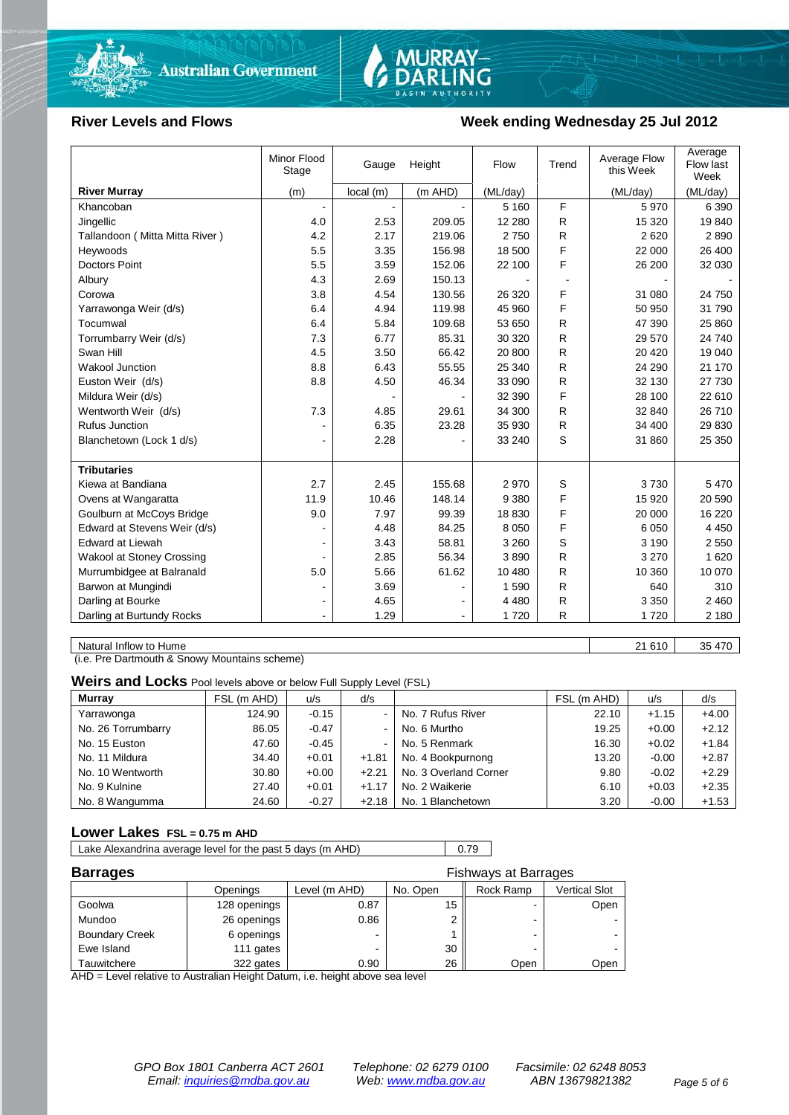



#### River Levels and Flows **Week ending Wednesday 25 Jul 2012**

| <b>River Murray</b>              | (m)            |          |         |          |              | this Week | Flow last<br>Week |
|----------------------------------|----------------|----------|---------|----------|--------------|-----------|-------------------|
|                                  |                | local(m) | (m AHD) | (ML/day) |              | (ML/day)  | (ML/day)          |
| Khancoban                        |                |          |         | 5 1 6 0  | F            | 5970      | 6 3 9 0           |
| Jingellic                        | 4.0            | 2.53     | 209.05  | 12 2 8 0 | R            | 15 3 20   | 19840             |
| Tallandoon (Mitta Mitta River)   | 4.2            | 2.17     | 219.06  | 2750     | R            | 2620      | 2890              |
| Heywoods                         | 5.5            | 3.35     | 156.98  | 18 500   | F            | 22 000    | 26 400            |
| <b>Doctors Point</b>             | 5.5            | 3.59     | 152.06  | 22 100   | F            | 26 200    | 32 030            |
| Albury                           | 4.3            | 2.69     | 150.13  |          |              |           |                   |
| Corowa                           | 3.8            | 4.54     | 130.56  | 26 3 20  | F            | 31 080    | 24 750            |
| Yarrawonga Weir (d/s)            | 6.4            | 4.94     | 119.98  | 45 960   | F            | 50 950    | 31 790            |
| Tocumwal                         | 6.4            | 5.84     | 109.68  | 53 650   | R            | 47 390    | 25 860            |
| Torrumbarry Weir (d/s)           | 7.3            | 6.77     | 85.31   | 30 320   | R            | 29 570    | 24 740            |
| Swan Hill                        | 4.5            | 3.50     | 66.42   | 20 800   | R            | 20 4 20   | 19 040            |
| <b>Wakool Junction</b>           | 8.8            | 6.43     | 55.55   | 25 340   | R            | 24 290    | 21 170            |
| Euston Weir (d/s)                | 8.8            | 4.50     | 46.34   | 33 090   | R            | 32 130    | 27 730            |
| Mildura Weir (d/s)               |                |          |         | 32 390   | F            | 28 100    | 22 610            |
| Wentworth Weir (d/s)             | 7.3            | 4.85     | 29.61   | 34 300   | R            | 32 840    | 26 710            |
| Rufus Junction                   |                | 6.35     | 23.28   | 35 930   | R            | 34 400    | 29 830            |
| Blanchetown (Lock 1 d/s)         | ۰              | 2.28     |         | 33 240   | S            | 31 860    | 25 350            |
| <b>Tributaries</b>               |                |          |         |          |              |           |                   |
| Kiewa at Bandiana                | 2.7            | 2.45     | 155.68  | 2970     | S            | 3730      | 5 4 7 0           |
| Ovens at Wangaratta              | 11.9           | 10.46    | 148.14  | 9 3 8 0  | F            | 15 9 20   | 20 590            |
| Goulburn at McCoys Bridge        | 9.0            | 7.97     | 99.39   | 18 830   | F            | 20 000    | 16 2 20           |
| Edward at Stevens Weir (d/s)     |                | 4.48     | 84.25   | 8 0 5 0  | F            | 6 0 5 0   | 4 4 5 0           |
| <b>Edward at Liewah</b>          |                | 3.43     | 58.81   | 3 2 6 0  | S            | 3 1 9 0   | 2 5 5 0           |
| <b>Wakool at Stoney Crossing</b> |                | 2.85     | 56.34   | 3890     | $\mathsf{R}$ | 3 2 7 0   | 1 6 2 0           |
| Murrumbidgee at Balranald        | 5.0            | 5.66     | 61.62   | 10 480   | R            | 10 360    | 10 070            |
| Barwon at Mungindi               |                | 3.69     |         | 1590     | R            | 640       | 310               |
| Darling at Bourke                | $\blacksquare$ | 4.65     |         | 4 4 8 0  | R            | 3 3 5 0   | 2 4 6 0           |
| Darling at Burtundy Rocks        |                | 1.29     |         | 1720     | $\mathsf{R}$ | 1720      | 2 180             |

Natural Inflow to Hume 21 610 | 35 470

(i.e. Pre Dartmouth & Snowy Mountains scheme)

**Weirs and Locks** Pool levels above or below Full Supply Level (FSL)

| <b>Murray</b>      | FSL (m AHD) | u/s     | d/s            |                       | FSL (m AHD) | u/s     | d/s     |
|--------------------|-------------|---------|----------------|-----------------------|-------------|---------|---------|
| Yarrawonga         | 124.90      | $-0.15$ | $\sim$         | No. 7 Rufus River     | 22.10       | $+1.15$ | $+4.00$ |
| No. 26 Torrumbarry | 86.05       | $-0.47$ | $\sim$         | No. 6 Murtho          | 19.25       | $+0.00$ | $+2.12$ |
| No. 15 Euston      | 47.60       | $-0.45$ | $\blacksquare$ | No. 5 Renmark         | 16.30       | $+0.02$ | $+1.84$ |
| No. 11 Mildura     | 34.40       | $+0.01$ | $+1.81$        | No. 4 Bookpurnong     | 13.20       | $-0.00$ | $+2.87$ |
| No. 10 Wentworth   | 30.80       | $+0.00$ | $+2.21$        | No. 3 Overland Corner | 9.80        | $-0.02$ | $+2.29$ |
| No. 9 Kulnine      | 27.40       | $+0.01$ | $+1.17$        | No. 2 Waikerie        | 6.10        | $+0.03$ | $+2.35$ |
| No. 8 Wangumma     | 24.60       | $-0.27$ | $+2.18$        | No. 1 Blanchetown     | 3.20        | $-0.00$ | $+1.53$ |

#### **Lower Lakes FSL = 0.75 m AHD**

Lake Alexandrina average level for the past 5 days (m AHD) 0.79

| <b>Barrages</b>       |              |               | <b>Fishways at Barrages</b> |           |               |  |  |
|-----------------------|--------------|---------------|-----------------------------|-----------|---------------|--|--|
|                       | Openings     | Level (m AHD) | No. Open                    | Rock Ramp | Vertical Slot |  |  |
| Goolwa                | 128 openings | 0.87          | 15                          |           | Open          |  |  |
| Mundoo                | 26 openings  | 0.86          |                             | -         |               |  |  |
| <b>Boundary Creek</b> | 6 openings   |               |                             | -         |               |  |  |
| Ewe Island            | 111 gates    |               | 30                          |           |               |  |  |
| Tauwitchere           | 322 gates    | 0.90          | 26                          | Open      | Open          |  |  |

AHD = Level relative to Australian Height Datum, i.e. height above sea level